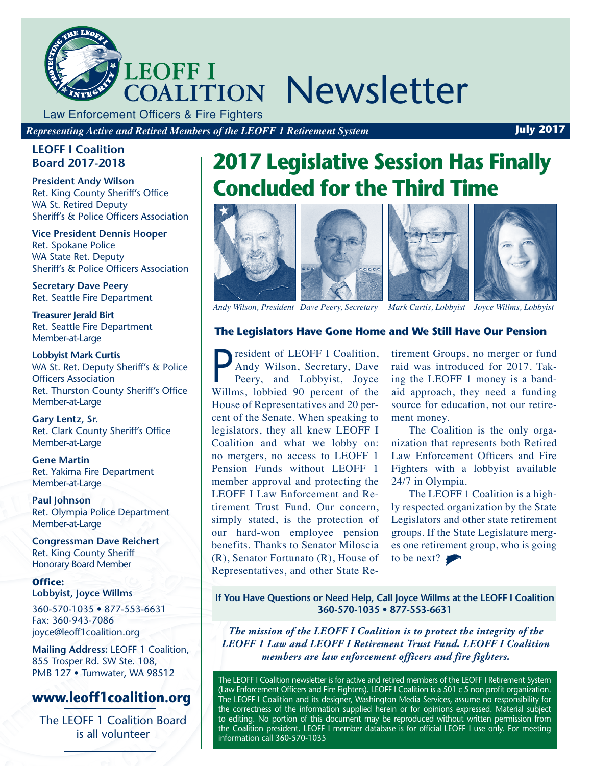

Law Enforcement Officers & Fire Fighters

*Representing Active and Retired Members of the LEOFF 1 Retirement System* **July 2017** 

#### **LEOFF I Coalition Board 2017-2018**

**President Andy Wilson**  Ret. King County Sheriff's Office WA St. Retired Deputy Sheriff's & Police Officers Association

**Vice President Dennis Hooper**  Ret. Spokane Police WA State Ret. Deputy Sheriff's & Police Officers Association

**Secretary Dave Peery**  Ret. Seattle Fire Department

**Treasurer Jerald Birt**  Ret. Seattle Fire Department Member-at-Large

**Lobbyist Mark Curtis** WA St. Ret. Deputy Sheriff's & Police Officers Association Ret. Thurston County Sheriff's Office Member-at-Large

**Gary Lentz, Sr.** Ret. Clark County Sheriff's Office Member-at-Large

**Gene Martin**  Ret. Yakima Fire Department Member-at-Large

**Paul Johnson**  Ret. Olympia Police Department Member-at-Large

**Congressman Dave Reichert** Ret. King County Sheriff Honorary Board Member

**Office: Lobbyist, Joyce Willms**

360-570-1035 • 877-553-6631 Fax: 360-943-7086 joyce@leoff1coalition.org

**Mailing Address:** LEOFF 1 Coalition, 855 Trosper Rd. SW Ste. 108, PMB 127 • Tumwater, WA 98512

### **www.leoff1coalition.org**

The LEOFF 1 Coalition Board is all volunteer

# **2017 Legislative Session Has Finally Concluded for the Third Time**









*Andy Wilson, President Dave Peery, Secretary Mark Curtis, Lobbyist Joyce Willms, Lobbyist*

#### **The Legislators Have Gone Home and We Still Have Our Pension**

**PEREFE EXECUTE 1 Coalition,**<br>Andy Wilson, Secretary, Dave<br>Peery, and Lobbyist, Joyce<br>Willms, lobbied 90 percent of the resident of LEOFF I Coalition, Andy Wilson, Secretary, Dave Peery, and Lobbyist, Joyce House of Representatives and 20 percent of the Senate. When speaking to legislators, they all knew LEOFF I Coalition and what we lobby on: no mergers, no access to LEOFF 1 Pension Funds without LEOFF 1 member approval and protecting the LEOFF I Law Enforcement and Retirement Trust Fund. Our concern, simply stated, is the protection of our hard-won employee pension benefits. Thanks to Senator Miloscia (R), Senator Fortunato (R), House of Representatives, and other State Re-

tirement Groups, no merger or fund raid was introduced for 2017. Taking the LEOFF 1 money is a bandaid approach, they need a funding source for education, not our retirement money.

The Coalition is the only organization that represents both Retired Law Enforcement Officers and Fire Fighters with a lobbyist available 24/7 in Olympia.

The LEOFF 1 Coalition is a highly respected organization by the State Legislators and other state retirement groups. If the State Legislature merges one retirement group, who is going to be next?

**If You Have Questions or Need Help, Call Joyce Willms at the LEOFF I Coalition 360-570-1035 • 877-553-6631**

*The mission of the LEOFF I Coalition is to protect the integrity of the LEOFF 1 Law and LEOFF I Retirement Trust Fund. LEOFF I Coalition members are law enforcement officers and fire fighters.*

The LEOFF I Coalition newsletter is for active and retired members of the LEOFF I Retirement System (Law Enforcement Officers and Fire Fighters). LEOFF I Coalition is a 501 c 5 non profit organization. The LEOFF I Coalition and its designer, Washington Media Services, assume no responsibility for the correctness of the information supplied herein or for opinions expressed. Material subject to editing. No portion of this document may be reproduced without written permission from the Coalition president. LEOFF I member database is for official LEOFF I use only. For meeting information call 360-570-1035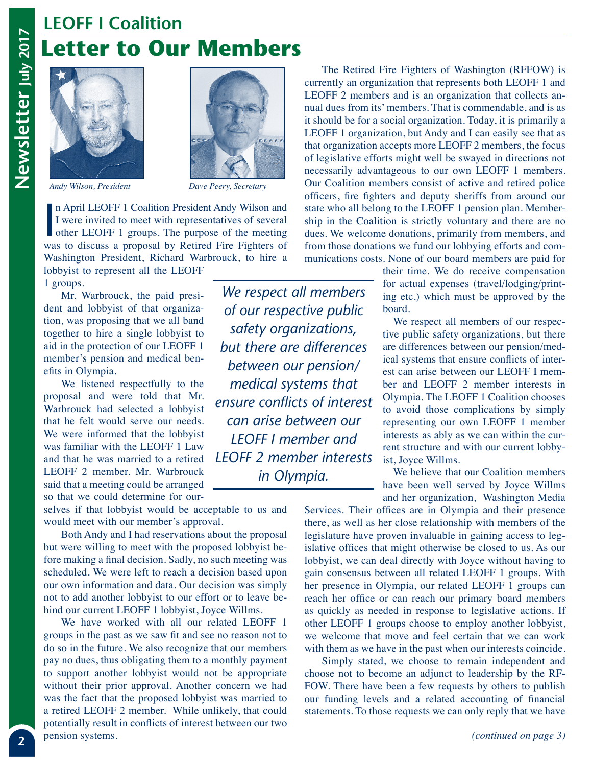## **LEOFF I Coalition Letter to Our Members**







*Andy Wilson, President Dave Peery, Secretary*

In April LEOFF 1 Coalition President Andy Wilson and I were invited to meet with representatives of several other LEOFF 1 groups. The purpose of the meeting was to discuss a proposal by Retired Fire Fighters of n April LEOFF 1 Coalition President Andy Wilson and I were invited to meet with representatives of several other LEOFF 1 groups. The purpose of the meeting Washington President, Richard Warbrouck, to hire a lobbyist to represent all the LEOFF

1 groups.

Mr. Warbrouck, the paid president and lobbyist of that organization, was proposing that we all band together to hire a single lobbyist to aid in the protection of our LEOFF 1 member's pension and medical benefits in Olympia.

We listened respectfully to the proposal and were told that Mr. Warbrouck had selected a lobbyist that he felt would serve our needs. We were informed that the lobbyist was familiar with the LEOFF 1 Law and that he was married to a retired LEOFF 2 member. Mr. Warbrouck said that a meeting could be arranged so that we could determine for our-

selves if that lobbyist would be acceptable to us and would meet with our member's approval.

Both Andy and I had reservations about the proposal but were willing to meet with the proposed lobbyist before making a final decision. Sadly, no such meeting was scheduled. We were left to reach a decision based upon our own information and data. Our decision was simply not to add another lobbyist to our effort or to leave behind our current LEOFF 1 lobbyist, Joyce Willms.

We have worked with all our related LEOFF 1 groups in the past as we saw fit and see no reason not to do so in the future. We also recognize that our members pay no dues, thus obligating them to a monthly payment to support another lobbyist would not be appropriate without their prior approval. Another concern we had was the fact that the proposed lobbyist was married to a retired LEOFF 2 member. While unlikely, that could potentially result in conflicts of interest between our two pension systems.

*We respect all members of our respective public safety organizations, but there are differences between our pension/ medical systems that ensure conflicts of interest can arise between our LEOFF I member and LEOFF 2 member interests in Olympia.* 

The Retired Fire Fighters of Washington (RFFOW) is currently an organization that represents both LEOFF 1 and LEOFF 2 members and is an organization that collects annual dues from its' members. That is commendable, and is as it should be for a social organization. Today, it is primarily a LEOFF 1 organization, but Andy and I can easily see that as that organization accepts more LEOFF 2 members, the focus of legislative efforts might well be swayed in directions not necessarily advantageous to our own LEOFF 1 members. Our Coalition members consist of active and retired police officers, fire fighters and deputy sheriffs from around our state who all belong to the LEOFF 1 pension plan. Membership in the Coalition is strictly voluntary and there are no dues. We welcome donations, primarily from members, and from those donations we fund our lobbying efforts and communications costs. None of our board members are paid for

> their time. We do receive compensation for actual expenses (travel/lodging/printing etc.) which must be approved by the board.

We respect all members of our respective public safety organizations, but there are differences between our pension/medical systems that ensure conflicts of interest can arise between our LEOFF I member and LEOFF 2 member interests in Olympia. The LEOFF 1 Coalition chooses to avoid those complications by simply representing our own LEOFF 1 member interests as ably as we can within the current structure and with our current lobbyist, Joyce Willms.

We believe that our Coalition members have been well served by Joyce Willms and her organization, Washington Media

Services. Their offices are in Olympia and their presence there, as well as her close relationship with members of the legislature have proven invaluable in gaining access to legislative offices that might otherwise be closed to us. As our lobbyist, we can deal directly with Joyce without having to gain consensus between all related LEOFF 1 groups. With her presence in Olympia, our related LEOFF 1 groups can reach her office or can reach our primary board members as quickly as needed in response to legislative actions. If other LEOFF 1 groups choose to employ another lobbyist, we welcome that move and feel certain that we can work with them as we have in the past when our interests coincide.

Simply stated, we choose to remain independent and choose not to become an adjunct to leadership by the RF-FOW. There have been a few requests by others to publish our funding levels and a related accounting of financial statements. To those requests we can only reply that we have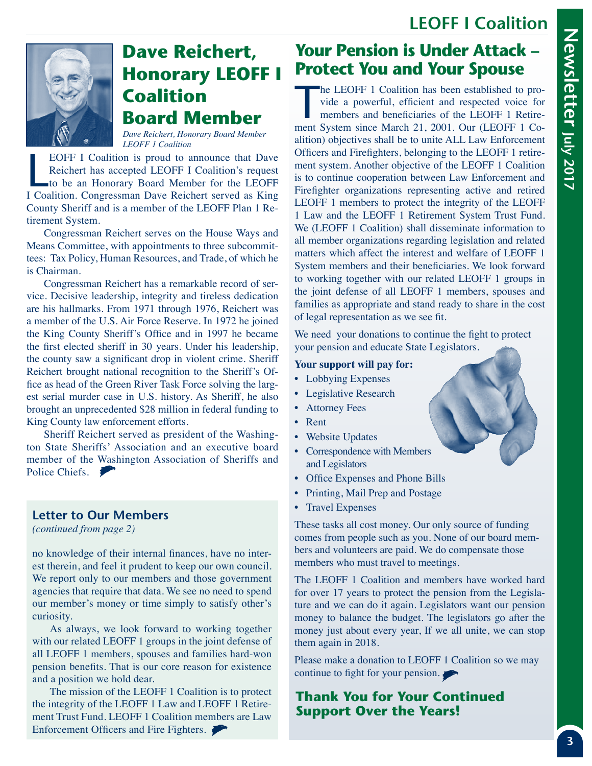### **LEOFF I Coalition**



## **Dave Reichert, Honorary LEOFF I Coalition Board Member**

*Dave Reichert, Honorary Board Member LEOFF 1 Coalition*

EOFF I Coalition is proud to announce that Dave<br>Reichert has accepted LEOFF I Coalition's request<br>to be an Honorary Board Member for the LEOFF<br>I Coalition. Congressman Dave Reichert served as King EOFF I Coalition is proud to announce that Dave Reichert has accepted LEOFF I Coalition's request to be an Honorary Board Member for the LEOFF County Sheriff and is a member of the LEOFF Plan 1 Retirement System.

Congressman Reichert serves on the House Ways and Means Committee, with appointments to three subcommittees: Tax Policy, Human Resources, and Trade, of which he is Chairman.

Congressman Reichert has a remarkable record of service. Decisive leadership, integrity and tireless dedication are his hallmarks. From 1971 through 1976, Reichert was a member of the U.S. Air Force Reserve. In 1972 he joined the King County Sheriff's Office and in 1997 he became the first elected sheriff in 30 years. Under his leadership, the county saw a significant drop in violent crime. Sheriff Reichert brought national recognition to the Sheriff's Office as head of the Green River Task Force solving the largest serial murder case in U.S. history. As Sheriff, he also brought an unprecedented \$28 million in federal funding to King County law enforcement efforts.

Sheriff Reichert served as president of the Washington State Sheriffs' Association and an executive board member of the Washington Association of Sheriffs and Police Chiefs.

#### **Letter to Our Members**

*(continued from page 2)*

no knowledge of their internal finances, have no interest therein, and feel it prudent to keep our own council. We report only to our members and those government agencies that require that data. We see no need to spend our member's money or time simply to satisfy other's curiosity.

As always, we look forward to working together with our related LEOFF 1 groups in the joint defense of all LEOFF 1 members, spouses and families hard-won pension benefits. That is our core reason for existence and a position we hold dear.

The mission of the LEOFF 1 Coalition is to protect the integrity of the LEOFF 1 Law and LEOFF 1 Retirement Trust Fund. LEOFF 1 Coalition members are Law Enforcement Officers and Fire Fighters.

### **Your Pension is Under Attack – Protect You and Your Spouse**

The LEOFF 1 Coalition has been established to provide a powerful, efficient and respected voice for members and beneficiaries of the LEOFF 1 Retirement System since March 21, 2001, Our (LEOFF 1 Co. vide a powerful, efficient and respected voice for members and beneficiaries of the LEOFF 1 Retirement System since March 21, 2001. Our (LEOFF 1 Coalition) objectives shall be to unite ALL Law Enforcement Officers and Firefighters, belonging to the LEOFF 1 retirement system. Another objective of the LEOFF 1 Coalition is to continue cooperation between Law Enforcement and Firefighter organizations representing active and retired LEOFF 1 members to protect the integrity of the LEOFF 1 Law and the LEOFF 1 Retirement System Trust Fund. We (LEOFF 1 Coalition) shall disseminate information to all member organizations regarding legislation and related matters which affect the interest and welfare of LEOFF 1 System members and their beneficiaries. We look forward to working together with our related LEOFF 1 groups in the joint defense of all LEOFF 1 members, spouses and families as appropriate and stand ready to share in the cost of legal representation as we see fit.

We need your donations to continue the fight to protect your pension and educate State Legislators.

#### **Your support will pay for:**

- Lobbying Expenses
- Legislative Research
- Attorney Fees
- Rent
- Website Updates
- Correspondence with Members and Legislators
- Office Expenses and Phone Bills
- Printing, Mail Prep and Postage
- Travel Expenses

These tasks all cost money. Our only source of funding comes from people such as you. None of our board members and volunteers are paid. We do compensate those members who must travel to meetings.

The LEOFF 1 Coalition and members have worked hard for over 17 years to protect the pension from the Legislature and we can do it again. Legislators want our pension money to balance the budget. The legislators go after the money just about every year, If we all unite, we can stop them again in 2018.

Please make a donation to LEOFF 1 Coalition so we may continue to fight for your pension.

### **Thank You for Your Continued Support Over the Years!**